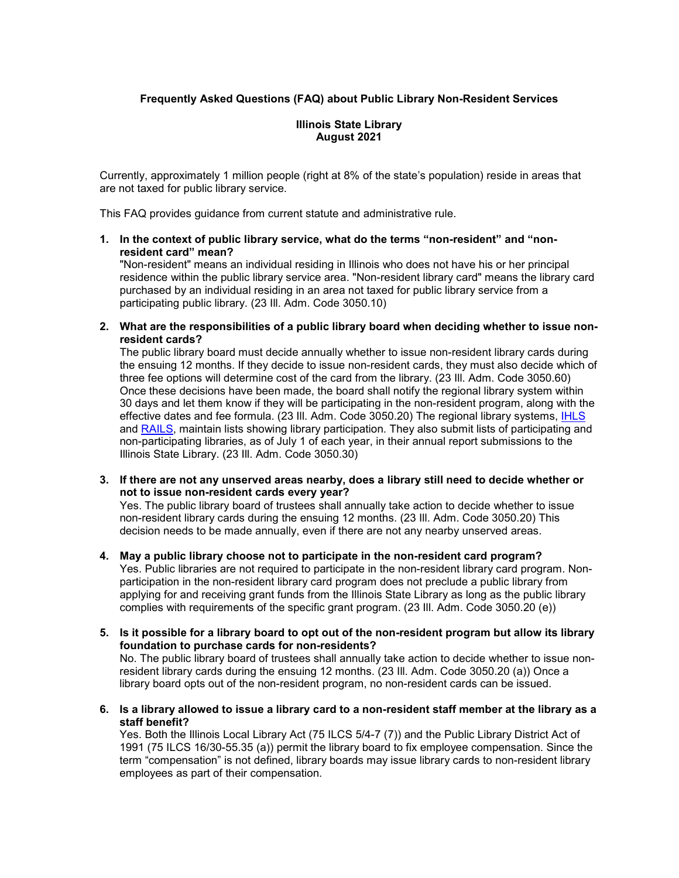# **Frequently Asked Questions (FAQ) about Public Library Non-Resident Services**

## **Illinois State Library August 2021**

Currently, approximately 1 million people (right at 8% of the state's population) reside in areas that are not taxed for public library service.

This FAQ provides guidance from current statute and administrative rule.

**1. In the context of public library service, what do the terms "non-resident" and "nonresident card" mean?**

"Non-resident" means an individual residing in Illinois who does not have his or her principal residence within the public library service area. "Non-resident library card" means the library card purchased by an individual residing in an area not taxed for public library service from a participating public library. (23 Ill. Adm. Code 3050.10)

**2. What are the responsibilities of a public library board when deciding whether to issue nonresident cards?**

The public library board must decide annually whether to issue non-resident library cards during the ensuing 12 months. If they decide to issue non-resident cards, they must also decide which of three fee options will determine cost of the card from the library. (23 Ill. Adm. Code 3050.60) Once these decisions have been made, the board shall notify the regional library system within 30 days and let them know if they will be participating in the non-resident program, along with the effective dates and fee formula. (23 Ill. Adm. Code 3050.20) The regional library systems, [IHLS](https://www.illinoisheartland.org/members/non-resident-fee) and [RAILS,](https://www.railslibraries.info/services/nonresident-cards) maintain lists showing library participation. They also submit lists of participating and non-participating libraries, as of July 1 of each year, in their annual report submissions to the Illinois State Library. (23 Ill. Adm. Code 3050.30)

**3. If there are not any unserved areas nearby, does a library still need to decide whether or not to issue non-resident cards every year?**

Yes. The public library board of trustees shall annually take action to decide whether to issue non-resident library cards during the ensuing 12 months. (23 Ill. Adm. Code 3050.20) This decision needs to be made annually, even if there are not any nearby unserved areas.

- **4. May a public library choose not to participate in the non-resident card program?** Yes. Public libraries are not required to participate in the non-resident library card program. Nonparticipation in the non-resident library card program does not preclude a public library from applying for and receiving grant funds from the Illinois State Library as long as the public library complies with requirements of the specific grant program. (23 Ill. Adm. Code 3050.20 (e))
- **5. Is it possible for a library board to opt out of the non-resident program but allow its library foundation to purchase cards for non-residents?** No. The public library board of trustees shall annually take action to decide whether to issue non-

resident library cards during the ensuing 12 months. (23 Ill. Adm. Code 3050.20 (a)) Once a library board opts out of the non-resident program, no non-resident cards can be issued.

**6. Is a library allowed to issue a library card to a non-resident staff member at the library as a staff benefit?**

Yes. Both the Illinois Local Library Act (75 ILCS 5/4-7 (7)) and the Public Library District Act of 1991 (75 ILCS 16/30-55.35 (a)) permit the library board to fix employee compensation. Since the term "compensation" is not defined, library boards may issue library cards to non-resident library employees as part of their compensation.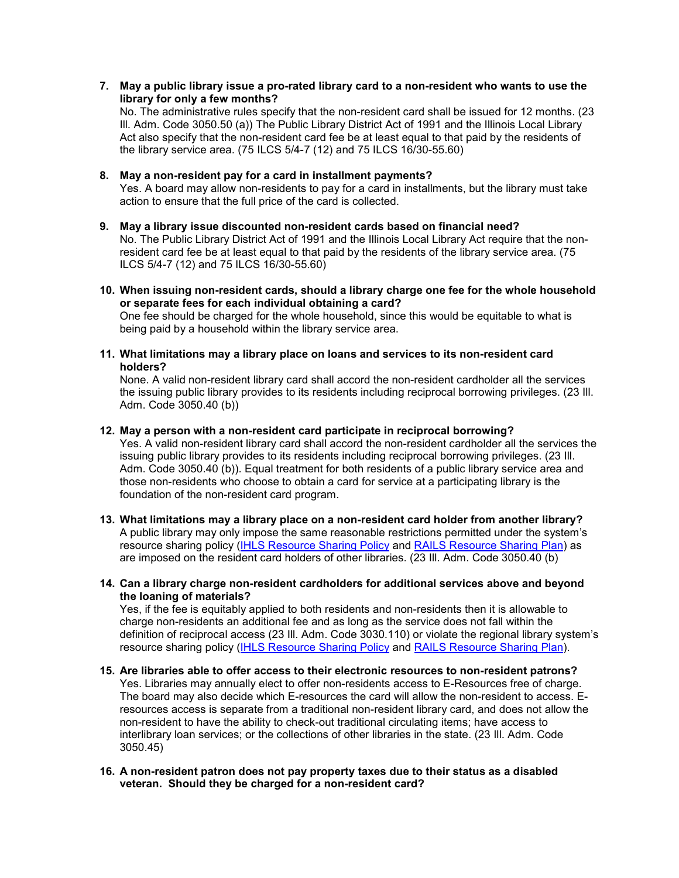## **7. May a public library issue a pro-rated library card to a non-resident who wants to use the library for only a few months?**

No. The administrative rules specify that the non-resident card shall be issued for 12 months. (23 Ill. Adm. Code 3050.50 (a)) The Public Library District Act of 1991 and the Illinois Local Library Act also specify that the non-resident card fee be at least equal to that paid by the residents of the library service area. (75 ILCS 5/4-7 (12) and 75 ILCS 16/30-55.60)

## **8. May a non-resident pay for a card in installment payments?**

Yes. A board may allow non-residents to pay for a card in installments, but the library must take action to ensure that the full price of the card is collected.

- **9. May a library issue discounted non-resident cards based on financial need?** No. The Public Library District Act of 1991 and the Illinois Local Library Act require that the nonresident card fee be at least equal to that paid by the residents of the library service area. (75 ILCS 5/4-7 (12) and 75 ILCS 16/30-55.60)
- **10. When issuing non-resident cards, should a library charge one fee for the whole household or separate fees for each individual obtaining a card?**

One fee should be charged for the whole household, since this would be equitable to what is being paid by a household within the library service area.

**11. What limitations may a library place on loans and services to its non-resident card holders?**

None. A valid non-resident library card shall accord the non-resident cardholder all the services the issuing public library provides to its residents including reciprocal borrowing privileges. (23 Ill. Adm. Code 3050.40 (b))

### **12. May a person with a non-resident card participate in reciprocal borrowing?**

Yes. A valid non-resident library card shall accord the non-resident cardholder all the services the issuing public library provides to its residents including reciprocal borrowing privileges. (23 Ill. Adm. Code 3050.40 (b)). Equal treatment for both residents of a public library service area and those non-residents who choose to obtain a card for service at a participating library is the foundation of the non-resident card program.

- **13. What limitations may a library place on a non-resident card holder from another library?** A public library may only impose the same reasonable restrictions permitted under the system's resource sharing policy [\(IHLS Resource Sharing Policy](https://www.illinoisheartland.org/sites/default/files/members/reciprocal-borrowing/Resource-Sharing-July-2012.pdf) and [RAILS Resource Sharing Plan\)](https://www.railslibraries.info/about/resource-sharing-plan) as are imposed on the resident card holders of other libraries. (23 Ill. Adm. Code 3050.40 (b)
- **14. Can a library charge non-resident cardholders for additional services above and beyond the loaning of materials?**

Yes, if the fee is equitably applied to both residents and non-residents then it is allowable to charge non-residents an additional fee and as long as the service does not fall within the definition of reciprocal access (23 Ill. Adm. Code 3030.110) or violate the regional library system's resource sharing policy [\(IHLS Resource Sharing Policy](https://www.illinoisheartland.org/sites/default/files/members/reciprocal-borrowing/Resource-Sharing-July-2012.pdf) and [RAILS Resource Sharing Plan\)](https://www.railslibraries.info/about/resource-sharing-plan).

**15. Are libraries able to offer access to their electronic resources to non-resident patrons?**  Yes. Libraries may annually elect to offer non-residents access to E-Resources free of charge. The board may also decide which E-resources the card will allow the non-resident to access. Eresources access is separate from a traditional non-resident library card, and does not allow the non-resident to have the ability to check-out traditional circulating items; have access to interlibrary loan services; or the collections of other libraries in the state. (23 Ill. Adm. Code 3050.45)

### **16. A non-resident patron does not pay property taxes due to their status as a disabled veteran. Should they be charged for a non-resident card?**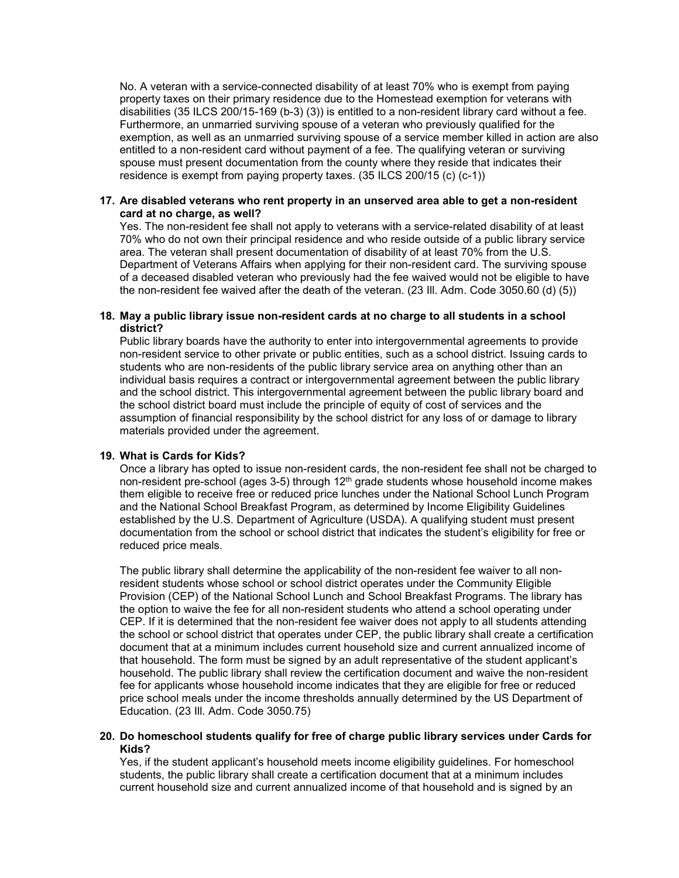No. A veteran with a service-connected disability of at least 70% who is exempt from paying property taxes on their primary residence due to the Homestead exemption for veterans with disabilities (35 ILCS 200/15-169 (b-3) (3)) is entitled to a non-resident library card without a fee. Furthermore, an unmarried surviving spouse of a veteran who previously qualified for the exemption, as well as an unmarried surviving spouse of a service member killed in action are also entitled to a non-resident card without payment of a fee. The qualifying veteran or surviving spouse must present documentation from the county where they reside that indicates their residence is exempt from paying property taxes. (35 ILCS 200/15 (c) (c-1))

## **17. Are disabled veterans who rent property in an unserved area able to get a non-resident card at no charge, as well?**

Yes. The non-resident fee shall not apply to veterans with a service-related disability of at least 70% who do not own their principal residence and who reside outside of a public library service area. The veteran shall present documentation of disability of at least 70% from the U.S. Department of Veterans Affairs when applying for their non-resident card. The surviving spouse of a deceased disabled veteran who previously had the fee waived would not be eligible to have the non-resident fee waived after the death of the veteran. (23 Ill. Adm. Code 3050.60 (d) (5))

## **18. May a public library issue non-resident cards at no charge to all students in a school district?**

Public library boards have the authority to enter into intergovernmental agreements to provide non-resident service to other private or public entities, such as a school district. Issuing cards to students who are non-residents of the public library service area on anything other than an individual basis requires a contract or intergovernmental agreement between the public library and the school district. This intergovernmental agreement between the public library board and the school district board must include the principle of equity of cost of services and the assumption of financial responsibility by the school district for any loss of or damage to library materials provided under the agreement.

### **19. What is Cards for Kids?**

Once a library has opted to issue non-resident cards, the non-resident fee shall not be charged to non-resident pre-school (ages 3-5) through 12<sup>th</sup> grade students whose household income makes them eligible to receive free or reduced price lunches under the National School Lunch Program and the National School Breakfast Program, as determined by Income Eligibility Guidelines established by the U.S. Department of Agriculture (USDA). A qualifying student must present documentation from the school or school district that indicates the student's eligibility for free or reduced price meals.

The public library shall determine the applicability of the non-resident fee waiver to all nonresident students whose school or school district operates under the Community Eligible Provision (CEP) of the National School Lunch and School Breakfast Programs. The library has the option to waive the fee for all non-resident students who attend a school operating under CEP. If it is determined that the non-resident fee waiver does not apply to all students attending the school or school district that operates under CEP, the public library shall create a certification document that at a minimum includes current household size and current annualized income of that household. The form must be signed by an adult representative of the student applicant's household. The public library shall review the certification document and waive the non-resident fee for applicants whose household income indicates that they are eligible for free or reduced price school meals under the income thresholds annually determined by the US Department of Education. (23 Ill. Adm. Code 3050.75)

### **20. Do homeschool students qualify for free of charge public library services under Cards for Kids?**

Yes, if the student applicant's household meets income eligibility guidelines. For homeschool students, the public library shall create a certification document that at a minimum includes current household size and current annualized income of that household and is signed by an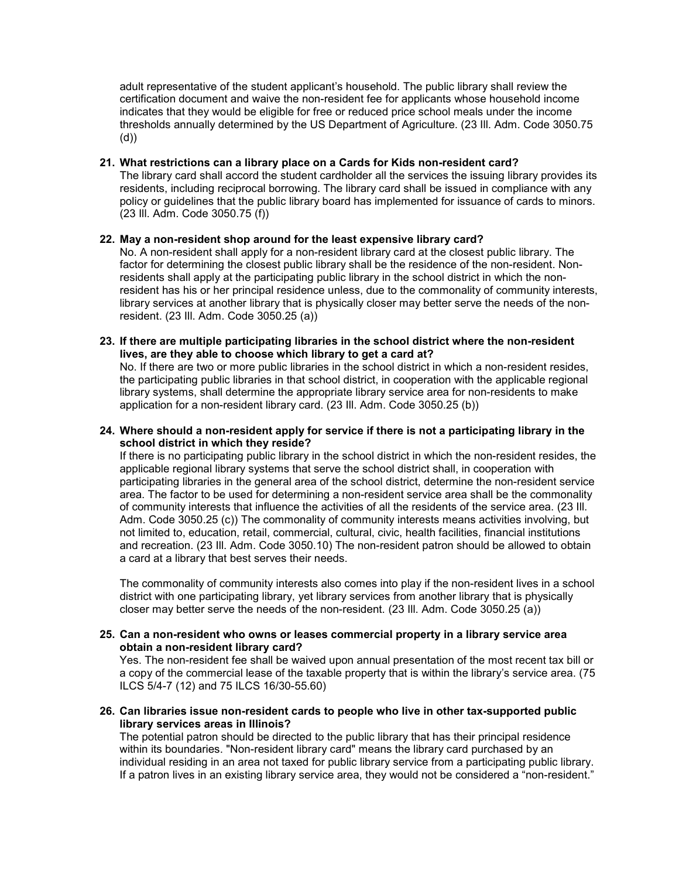adult representative of the student applicant's household. The public library shall review the certification document and waive the non-resident fee for applicants whose household income indicates that they would be eligible for free or reduced price school meals under the income thresholds annually determined by the US Department of Agriculture. (23 Ill. Adm. Code 3050.75 (d))

## **21. What restrictions can a library place on a Cards for Kids non-resident card?**

The library card shall accord the student cardholder all the services the issuing library provides its residents, including reciprocal borrowing. The library card shall be issued in compliance with any policy or guidelines that the public library board has implemented for issuance of cards to minors. (23 Ill. Adm. Code 3050.75 (f))

## **22. May a non-resident shop around for the least expensive library card?**

No. A non-resident shall apply for a non-resident library card at the closest public library. The factor for determining the closest public library shall be the residence of the non-resident. Nonresidents shall apply at the participating public library in the school district in which the nonresident has his or her principal residence unless, due to the commonality of community interests, library services at another library that is physically closer may better serve the needs of the nonresident. (23 Ill. Adm. Code 3050.25 (a))

**23. If there are multiple participating libraries in the school district where the non-resident lives, are they able to choose which library to get a card at?**

No. If there are two or more public libraries in the school district in which a non-resident resides, the participating public libraries in that school district, in cooperation with the applicable regional library systems, shall determine the appropriate library service area for non-residents to make application for a non-resident library card. (23 Ill. Adm. Code 3050.25 (b))

**24. Where should a non-resident apply for service if there is not a participating library in the school district in which they reside?**

If there is no participating public library in the school district in which the non-resident resides, the applicable regional library systems that serve the school district shall, in cooperation with participating libraries in the general area of the school district, determine the non-resident service area. The factor to be used for determining a non-resident service area shall be the commonality of community interests that influence the activities of all the residents of the service area. (23 Ill. Adm. Code 3050.25 (c)) The commonality of community interests means activities involving, but not limited to, education, retail, commercial, cultural, civic, health facilities, financial institutions and recreation. (23 Ill. Adm. Code 3050.10) The non-resident patron should be allowed to obtain a card at a library that best serves their needs.

The commonality of community interests also comes into play if the non-resident lives in a school district with one participating library, yet library services from another library that is physically closer may better serve the needs of the non-resident. (23 Ill. Adm. Code 3050.25 (a))

### **25. Can a non-resident who owns or leases commercial property in a library service area obtain a non-resident library card?**

Yes. The non-resident fee shall be waived upon annual presentation of the most recent tax bill or a copy of the commercial lease of the taxable property that is within the library's service area. (75 ILCS 5/4-7 (12) and 75 ILCS 16/30-55.60)

### **26. Can libraries issue non-resident cards to people who live in other tax-supported public library services areas in Illinois?**

The potential patron should be directed to the public library that has their principal residence within its boundaries. "Non-resident library card" means the library card purchased by an individual residing in an area not taxed for public library service from a participating public library. If a patron lives in an existing library service area, they would not be considered a "non-resident."